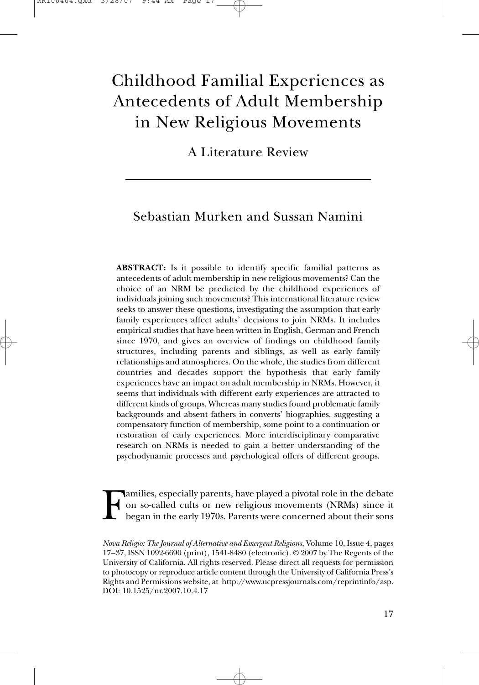# Childhood Familial Experiences as Antecedents of Adult Membership in New Religious Movements

A Literature Review

# Sebastian Murken and Sussan Namini

**ABSTRACT:** Is it possible to identify specific familial patterns as antecedents of adult membership in new religious movements? Can the choice of an NRM be predicted by the childhood experiences of individuals joining such movements? This international literature review seeks to answer these questions, investigating the assumption that early family experiences affect adults' decisions to join NRMs. It includes empirical studies that have been written in English, German and French since 1970, and gives an overview of findings on childhood family structures, including parents and siblings, as well as early family relationships and atmospheres. On the whole, the studies from different countries and decades support the hypothesis that early family experiences have an impact on adult membership in NRMs. However, it seems that individuals with different early experiences are attracted to different kinds of groups. Whereas many studies found problematic family backgrounds and absent fathers in converts' biographies, suggesting a compensatory function of membership, some point to a continuation or restoration of early experiences. More interdisciplinary comparative research on NRMs is needed to gain a better understanding of the psychodynamic processes and psychological offers of different groups.

# Families, especially parents, have played a pivotal role in the debate<br>on so-called cults or new religious movements (NRMs) since it<br>began in the early 1970s. Parents were concerned about their sons on so-called cults or new religious movements (NRMs) since it began in the early 1970s. Parents were concerned about their sons

*Nova Religio: The Journal of Alternative and Emergent Religions,* Volume 10, Issue 4, pages 17–37, ISSN 1092-6690 (print), 1541-8480 (electronic). © 2007 by The Regents of the University of California. All rights reserved. Please direct all requests for permission to photocopy or reproduce article content through the University of California Press's Rights and Permissions website, at http://www.ucpressjournals.com/reprintinfo/asp. DOI: 10.1525/nr.2007.10.4.17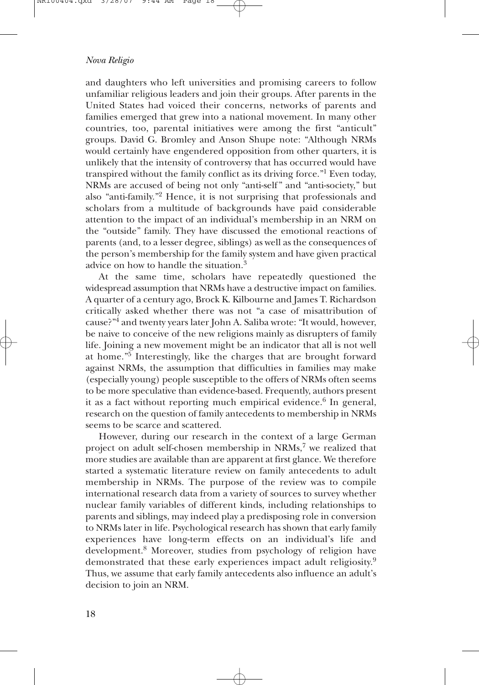and daughters who left universities and promising careers to follow unfamiliar religious leaders and join their groups. After parents in the United States had voiced their concerns, networks of parents and families emerged that grew into a national movement. In many other countries, too, parental initiatives were among the first "anticult" groups. David G. Bromley and Anson Shupe note: "Although NRMs would certainly have engendered opposition from other quarters, it is unlikely that the intensity of controversy that has occurred would have transpired without the family conflict as its driving force."1 Even today, NRMs are accused of being not only "anti-self" and "anti-society," but also "anti-family."<sup>2</sup> Hence, it is not surprising that professionals and scholars from a multitude of backgrounds have paid considerable attention to the impact of an individual's membership in an NRM on the "outside" family. They have discussed the emotional reactions of parents (and, to a lesser degree, siblings) as well as the consequences of the person's membership for the family system and have given practical advice on how to handle the situation.<sup>3</sup>

At the same time, scholars have repeatedly questioned the widespread assumption that NRMs have a destructive impact on families. A quarter of a century ago, Brock K. Kilbourne and James T. Richardson critically asked whether there was not "a case of misattribution of cause?"4 and twenty years later John A. Saliba wrote: "It would, however, be naive to conceive of the new religions mainly as disrupters of family life. Joining a new movement might be an indicator that all is not well at home."<sup>5</sup> Interestingly, like the charges that are brought forward against NRMs, the assumption that difficulties in families may make (especially young) people susceptible to the offers of NRMs often seems to be more speculative than evidence-based. Frequently, authors present it as a fact without reporting much empirical evidence.<sup>6</sup> In general, research on the question of family antecedents to membership in NRMs seems to be scarce and scattered.

However, during our research in the context of a large German project on adult self-chosen membership in  $NRMs$ ,<sup>7</sup> we realized that more studies are available than are apparent at first glance. We therefore started a systematic literature review on family antecedents to adult membership in NRMs. The purpose of the review was to compile international research data from a variety of sources to survey whether nuclear family variables of different kinds, including relationships to parents and siblings, may indeed play a predisposing role in conversion to NRMs later in life. Psychological research has shown that early family experiences have long-term effects on an individual's life and development.<sup>8</sup> Moreover, studies from psychology of religion have demonstrated that these early experiences impact adult religiosity.<sup>9</sup> Thus, we assume that early family antecedents also influence an adult's decision to join an NRM.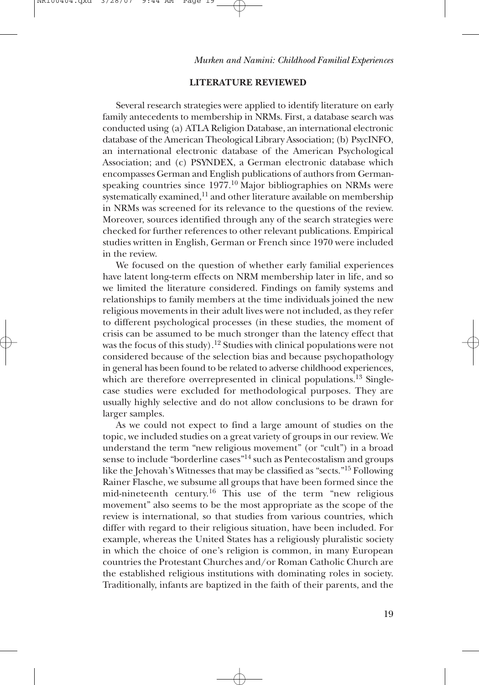#### **LITERATURE REVIEWED**

Several research strategies were applied to identify literature on early family antecedents to membership in NRMs. First, a database search was conducted using (a) ATLA Religion Database, an international electronic database of the American Theological Library Association; (b) PsycINFO, an international electronic database of the American Psychological Association; and (c) PSYNDEX, a German electronic database which encompasses German and English publications of authors from Germanspeaking countries since  $1977<sup>10</sup>$  Major bibliographies on NRMs were systematically examined, $^{11}$  and other literature available on membership in NRMs was screened for its relevance to the questions of the review. Moreover, sources identified through any of the search strategies were checked for further references to other relevant publications. Empirical studies written in English, German or French since 1970 were included in the review.

We focused on the question of whether early familial experiences have latent long-term effects on NRM membership later in life, and so we limited the literature considered. Findings on family systems and relationships to family members at the time individuals joined the new religious movements in their adult lives were not included, as they refer to different psychological processes (in these studies, the moment of crisis can be assumed to be much stronger than the latency effect that was the focus of this study).<sup>12</sup> Studies with clinical populations were not considered because of the selection bias and because psychopathology in general has been found to be related to adverse childhood experiences, which are therefore overrepresented in clinical populations.<sup>13</sup> Singlecase studies were excluded for methodological purposes. They are usually highly selective and do not allow conclusions to be drawn for larger samples.

As we could not expect to find a large amount of studies on the topic, we included studies on a great variety of groups in our review. We understand the term "new religious movement" (or "cult") in a broad sense to include "borderline cases"<sup>14</sup> such as Pentecostalism and groups like the Jehovah's Witnesses that may be classified as "sects."15 Following Rainer Flasche, we subsume all groups that have been formed since the mid-nineteenth century.<sup>16</sup> This use of the term "new religious movement" also seems to be the most appropriate as the scope of the review is international, so that studies from various countries, which differ with regard to their religious situation, have been included. For example, whereas the United States has a religiously pluralistic society in which the choice of one's religion is common, in many European countries the Protestant Churches and/or Roman Catholic Church are the established religious institutions with dominating roles in society. Traditionally, infants are baptized in the faith of their parents, and the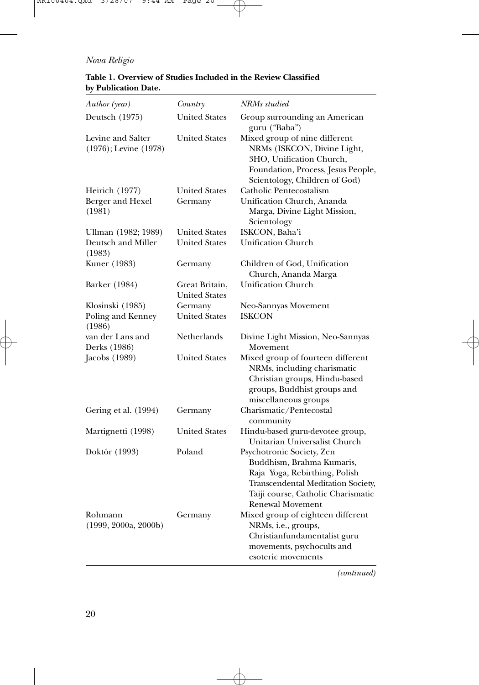| Author (year)                                   | Country                                | NRMs studied                                                                                                                                                                                   |
|-------------------------------------------------|----------------------------------------|------------------------------------------------------------------------------------------------------------------------------------------------------------------------------------------------|
| Deutsch (1975)                                  | <b>United States</b>                   | Group surrounding an American<br>guru ("Baba")                                                                                                                                                 |
| Levine and Salter<br>$(1976)$ ; Levine $(1978)$ | <b>United States</b>                   | Mixed group of nine different<br>NRMs (ISKCON, Divine Light,<br>3HO, Unification Church,<br>Foundation, Process, Jesus People,<br>Scientology, Children of God)                                |
| Heirich (1977)                                  | United States                          | Catholic Pentecostalism                                                                                                                                                                        |
| Berger and Hexel<br>(1981)                      | Germany                                | Unification Church, Ananda<br>Marga, Divine Light Mission,<br>Scientology                                                                                                                      |
| Ullman (1982; 1989)                             | <b>United States</b>                   | ISKCON, Baha'i                                                                                                                                                                                 |
| Deutsch and Miller<br>(1983)                    | <b>United States</b>                   | <b>Unification Church</b>                                                                                                                                                                      |
| Kuner (1983)                                    | Germany                                | Children of God, Unification<br>Church, Ananda Marga                                                                                                                                           |
| Barker (1984)                                   | Great Britain,<br><b>United States</b> | <b>Unification Church</b>                                                                                                                                                                      |
| Klosinski (1985)                                | Germany                                | Neo-Sannyas Movement                                                                                                                                                                           |
| Poling and Kenney<br>(1986)                     | <b>United States</b>                   | <b>ISKCON</b>                                                                                                                                                                                  |
| van der Lans and<br>Derks (1986)                | Netherlands                            | Divine Light Mission, Neo-Sannyas<br>Movement                                                                                                                                                  |
| Jacobs (1989)                                   | <b>United States</b>                   | Mixed group of fourteen different<br>NRMs, including charismatic<br>Christian groups, Hindu-based<br>groups, Buddhist groups and<br>miscellaneous groups                                       |
| Gering et al. (1994)                            | Germany                                | Charismatic/Pentecostal<br>community                                                                                                                                                           |
| Martignetti (1998)                              | <b>United States</b>                   | Hindu-based guru-devotee group,<br>Unitarian Universalist Church                                                                                                                               |
| Doktór (1993)                                   | Poland                                 | Psychotronic Society, Zen<br>Buddhism, Brahma Kumaris,<br>Raja Yoga, Rebirthing, Polish<br>Transcendental Meditation Society,<br>Taiji course, Catholic Charismatic<br><b>Renewal Movement</b> |
| Rohmann<br>(1999, 2000a, 2000b)                 | Germany                                | Mixed group of eighteen different<br>NRMs, i.e., groups,<br>Christianfundamentalist guru<br>movements, psychocults and<br>esoteric movements                                                   |

### **Table 1. Overview of Studies Included in the Review Classified by Publication Date.**

*(continued)*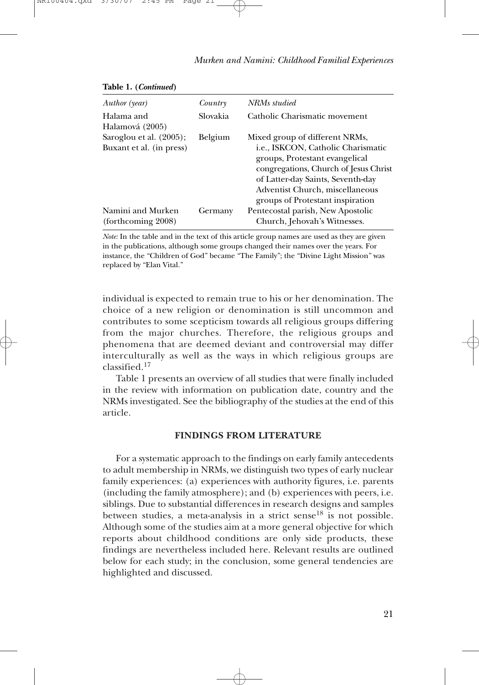| Author (year)                                          | Country  | NRMs studied                                                                                                                                                                                                                                                |
|--------------------------------------------------------|----------|-------------------------------------------------------------------------------------------------------------------------------------------------------------------------------------------------------------------------------------------------------------|
| Halama and<br>Halamová (2005)                          | Slovakia | Catholic Charismatic movement                                                                                                                                                                                                                               |
| Saroglou et al. $(2005)$ ;<br>Buxant et al. (in press) | Belgium  | Mixed group of different NRMs,<br>i.e., ISKCON, Catholic Charismatic<br>groups, Protestant evangelical<br>congregations, Church of Jesus Christ<br>of Latter-day Saints, Seventh-day<br>Adventist Church, miscellaneous<br>groups of Protestant inspiration |
| Namini and Murken<br>(for the coming 2008)             | Germany  | Pentecostal parish, New Apostolic<br>Church, Jehovah's Witnesses.                                                                                                                                                                                           |

**Table 1. (***Continued***)**

*Note:* In the table and in the text of this article group names are used as they are given in the publications, although some groups changed their names over the years. For instance, the "Children of God" became "The Family"; the "Divine Light Mission" was replaced by "Elan Vital."

individual is expected to remain true to his or her denomination. The choice of a new religion or denomination is still uncommon and contributes to some scepticism towards all religious groups differing from the major churches. Therefore, the religious groups and phenomena that are deemed deviant and controversial may differ interculturally as well as the ways in which religious groups are classified.<sup>17</sup>

Table 1 presents an overview of all studies that were finally included in the review with information on publication date, country and the NRMs investigated. See the bibliography of the studies at the end of this article.

#### **FINDINGS FROM LITERATURE**

For a systematic approach to the findings on early family antecedents to adult membership in NRMs, we distinguish two types of early nuclear family experiences: (a) experiences with authority figures, i.e. parents (including the family atmosphere); and (b) experiences with peers, i.e. siblings. Due to substantial differences in research designs and samples between studies, a meta-analysis in a strict sense<sup>18</sup> is not possible. Although some of the studies aim at a more general objective for which reports about childhood conditions are only side products, these findings are nevertheless included here. Relevant results are outlined below for each study; in the conclusion, some general tendencies are highlighted and discussed.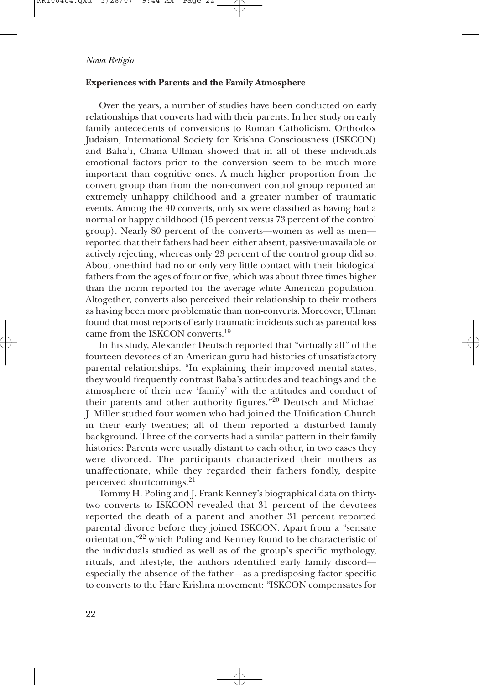#### **Experiences with Parents and the Family Atmosphere**

Over the years, a number of studies have been conducted on early relationships that converts had with their parents. In her study on early family antecedents of conversions to Roman Catholicism, Orthodox Judaism, International Society for Krishna Consciousness (ISKCON) and Baha'i, Chana Ullman showed that in all of these individuals emotional factors prior to the conversion seem to be much more important than cognitive ones. A much higher proportion from the convert group than from the non-convert control group reported an extremely unhappy childhood and a greater number of traumatic events. Among the 40 converts, only six were classified as having had a normal or happy childhood (15 percent versus 73 percent of the control group). Nearly 80 percent of the converts—women as well as men reported that their fathers had been either absent, passive-unavailable or actively rejecting, whereas only 23 percent of the control group did so. About one-third had no or only very little contact with their biological fathers from the ages of four or five, which was about three times higher than the norm reported for the average white American population. Altogether, converts also perceived their relationship to their mothers as having been more problematic than non-converts. Moreover, Ullman found that most reports of early traumatic incidents such as parental loss came from the ISKCON converts.19

In his study, Alexander Deutsch reported that "virtually all" of the fourteen devotees of an American guru had histories of unsatisfactory parental relationships. "In explaining their improved mental states, they would frequently contrast Baba's attitudes and teachings and the atmosphere of their new 'family' with the attitudes and conduct of their parents and other authority figures."<sup>20</sup> Deutsch and Michael J. Miller studied four women who had joined the Unification Church in their early twenties; all of them reported a disturbed family background. Three of the converts had a similar pattern in their family histories: Parents were usually distant to each other, in two cases they were divorced. The participants characterized their mothers as unaffectionate, while they regarded their fathers fondly, despite perceived shortcomings.<sup>21</sup>

Tommy H. Poling and J. Frank Kenney's biographical data on thirtytwo converts to ISKCON revealed that 31 percent of the devotees reported the death of a parent and another 31 percent reported parental divorce before they joined ISKCON. Apart from a "sensate orientation,"<sup>22</sup> which Poling and Kenney found to be characteristic of the individuals studied as well as of the group's specific mythology, rituals, and lifestyle, the authors identified early family discord especially the absence of the father—as a predisposing factor specific to converts to the Hare Krishna movement: "ISKCON compensates for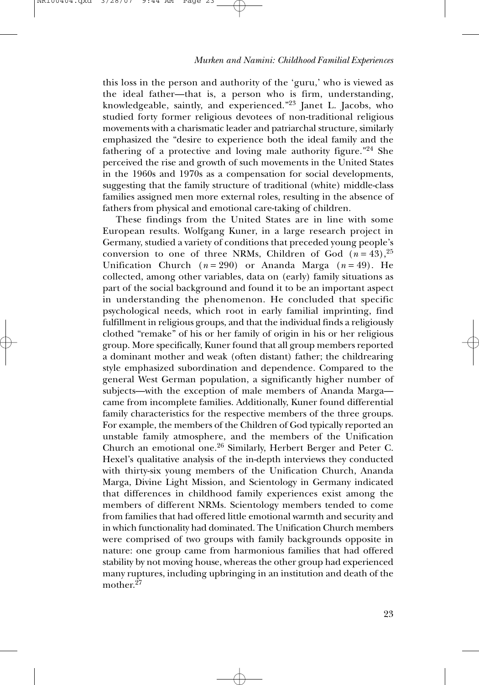this loss in the person and authority of the 'guru,' who is viewed as the ideal father—that is, a person who is firm, understanding, knowledgeable, saintly, and experienced."<sup>23</sup> Janet L. Jacobs, who studied forty former religious devotees of non-traditional religious movements with a charismatic leader and patriarchal structure, similarly emphasized the "desire to experience both the ideal family and the fathering of a protective and loving male authority figure."<sup>24</sup> She perceived the rise and growth of such movements in the United States in the 1960s and 1970s as a compensation for social developments, suggesting that the family structure of traditional (white) middle-class families assigned men more external roles, resulting in the absence of fathers from physical and emotional care-taking of children.

These findings from the United States are in line with some European results. Wolfgang Kuner, in a large research project in Germany, studied a variety of conditions that preceded young people's conversion to one of three NRMs, Children of God  $(n=43),^{25}$ Unification Church  $(n=290)$  or Ananda Marga  $(n=49)$ . He collected, among other variables, data on (early) family situations as part of the social background and found it to be an important aspect in understanding the phenomenon. He concluded that specific psychological needs, which root in early familial imprinting, find fulfillment in religious groups, and that the individual finds a religiously clothed "remake" of his or her family of origin in his or her religious group. More specifically, Kuner found that all group members reported a dominant mother and weak (often distant) father; the childrearing style emphasized subordination and dependence. Compared to the general West German population, a significantly higher number of subjects—with the exception of male members of Ananda Marga came from incomplete families. Additionally, Kuner found differential family characteristics for the respective members of the three groups. For example, the members of the Children of God typically reported an unstable family atmosphere, and the members of the Unification Church an emotional one.<sup>26</sup> Similarly, Herbert Berger and Peter C. Hexel's qualitative analysis of the in-depth interviews they conducted with thirty-six young members of the Unification Church, Ananda Marga, Divine Light Mission, and Scientology in Germany indicated that differences in childhood family experiences exist among the members of different NRMs. Scientology members tended to come from families that had offered little emotional warmth and security and in which functionality had dominated. The Unification Church members were comprised of two groups with family backgrounds opposite in nature: one group came from harmonious families that had offered stability by not moving house, whereas the other group had experienced many ruptures, including upbringing in an institution and death of the mother.<sup>27</sup>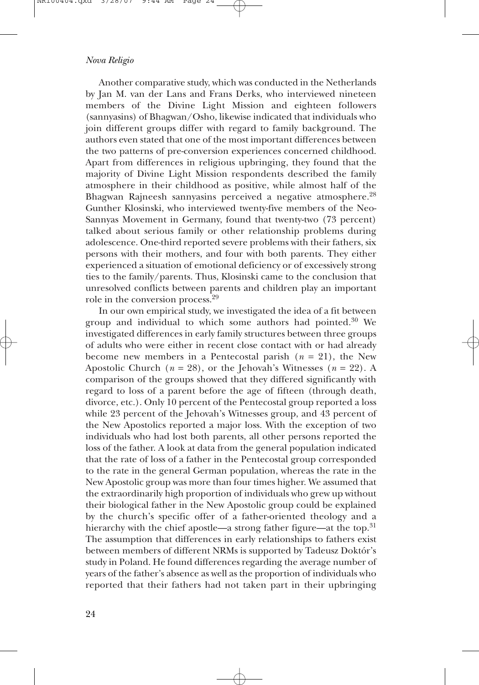Another comparative study, which was conducted in the Netherlands by Jan M. van der Lans and Frans Derks, who interviewed nineteen members of the Divine Light Mission and eighteen followers (sannyasins) of Bhagwan/Osho, likewise indicated that individuals who join different groups differ with regard to family background. The authors even stated that one of the most important differences between the two patterns of pre-conversion experiences concerned childhood. Apart from differences in religious upbringing, they found that the majority of Divine Light Mission respondents described the family atmosphere in their childhood as positive, while almost half of the Bhagwan Rajneesh sannyasins perceived a negative atmosphere.<sup>28</sup> Gunther Klosinski, who interviewed twenty-five members of the Neo-Sannyas Movement in Germany, found that twenty-two (73 percent) talked about serious family or other relationship problems during adolescence. One-third reported severe problems with their fathers, six persons with their mothers, and four with both parents. They either experienced a situation of emotional deficiency or of excessively strong ties to the family/parents. Thus, Klosinski came to the conclusion that unresolved conflicts between parents and children play an important role in the conversion process.<sup>29</sup>

In our own empirical study, we investigated the idea of a fit between group and individual to which some authors had pointed.<sup>30</sup> We investigated differences in early family structures between three groups of adults who were either in recent close contact with or had already become new members in a Pentecostal parish  $(n = 21)$ , the New Apostolic Church ( $n = 28$ ), or the Jehovah's Witnesses ( $n = 22$ ). A comparison of the groups showed that they differed significantly with regard to loss of a parent before the age of fifteen (through death, divorce, etc.). Only 10 percent of the Pentecostal group reported a loss while 23 percent of the Jehovah's Witnesses group, and 43 percent of the New Apostolics reported a major loss. With the exception of two individuals who had lost both parents, all other persons reported the loss of the father. A look at data from the general population indicated that the rate of loss of a father in the Pentecostal group corresponded to the rate in the general German population, whereas the rate in the New Apostolic group was more than four times higher. We assumed that the extraordinarily high proportion of individuals who grew up without their biological father in the New Apostolic group could be explained by the church's specific offer of a father-oriented theology and a hierarchy with the chief apostle—a strong father figure—at the top.<sup>31</sup> The assumption that differences in early relationships to fathers exist between members of different NRMs is supported by Tadeusz Doktór's study in Poland. He found differences regarding the average number of years of the father's absence as well as the proportion of individuals who reported that their fathers had not taken part in their upbringing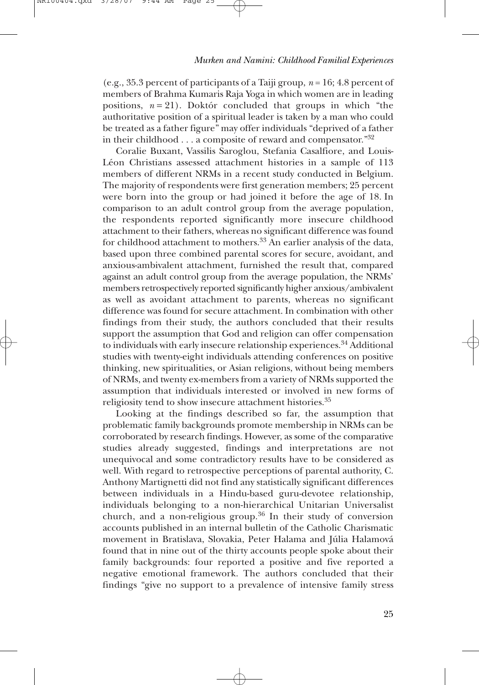(e.g., 35.3 percent of participants of a Taiji group, *n* = 16; 4.8 percent of members of Brahma Kumaris Raja Yoga in which women are in leading positions,  $n = 21$ ). Doktór concluded that groups in which "the authoritative position of a spiritual leader is taken by a man who could be treated as a father figure" may offer individuals "deprived of a father in their childhood . . . a composite of reward and compensator."32

Coralie Buxant, Vassilis Saroglou, Stefania Casalfiore, and Louis-Léon Christians assessed attachment histories in a sample of 113 members of different NRMs in a recent study conducted in Belgium. The majority of respondents were first generation members; 25 percent were born into the group or had joined it before the age of 18. In comparison to an adult control group from the average population, the respondents reported significantly more insecure childhood attachment to their fathers, whereas no significant difference was found for childhood attachment to mothers.<sup>33</sup> An earlier analysis of the data, based upon three combined parental scores for secure, avoidant, and anxious-ambivalent attachment, furnished the result that, compared against an adult control group from the average population, the NRMs' members retrospectively reported significantly higher anxious/ambivalent as well as avoidant attachment to parents, whereas no significant difference was found for secure attachment. In combination with other findings from their study, the authors concluded that their results support the assumption that God and religion can offer compensation to individuals with early insecure relationship experiences.<sup>34</sup> Additional studies with twenty-eight individuals attending conferences on positive thinking, new spiritualities, or Asian religions, without being members of NRMs, and twenty ex-members from a variety of NRMs supported the assumption that individuals interested or involved in new forms of religiosity tend to show insecure attachment histories.<sup>35</sup>

Looking at the findings described so far, the assumption that problematic family backgrounds promote membership in NRMs can be corroborated by research findings. However, as some of the comparative studies already suggested, findings and interpretations are not unequivocal and some contradictory results have to be considered as well. With regard to retrospective perceptions of parental authority, C. Anthony Martignetti did not find any statistically significant differences between individuals in a Hindu-based guru-devotee relationship, individuals belonging to a non-hierarchical Unitarian Universalist church, and a non-religious group. $36$  In their study of conversion accounts published in an internal bulletin of the Catholic Charismatic movement in Bratislava, Slovakia, Peter Halama and Júlia Halamová found that in nine out of the thirty accounts people spoke about their family backgrounds: four reported a positive and five reported a negative emotional framework. The authors concluded that their findings "give no support to a prevalence of intensive family stress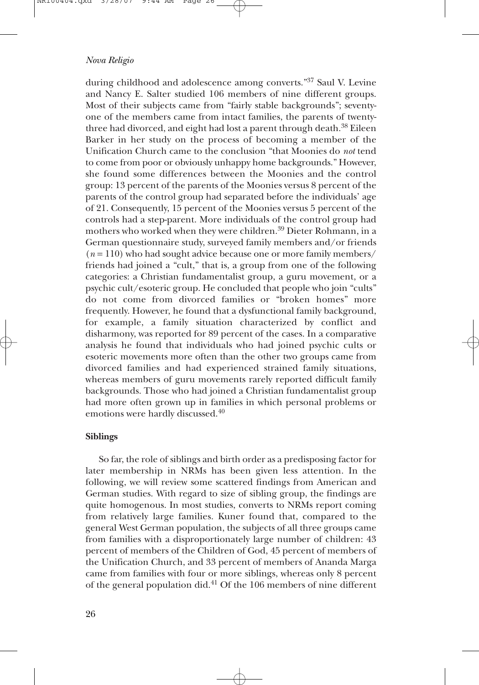during childhood and adolescence among converts."37 Saul V. Levine and Nancy E. Salter studied 106 members of nine different groups. Most of their subjects came from "fairly stable backgrounds"; seventyone of the members came from intact families, the parents of twentythree had divorced, and eight had lost a parent through death.<sup>38</sup> Eileen Barker in her study on the process of becoming a member of the Unification Church came to the conclusion "that Moonies do *not* tend to come from poor or obviously unhappy home backgrounds." However, she found some differences between the Moonies and the control group: 13 percent of the parents of the Moonies versus 8 percent of the parents of the control group had separated before the individuals' age of 21. Consequently, 15 percent of the Moonies versus 5 percent of the controls had a step-parent. More individuals of the control group had mothers who worked when they were children.39 Dieter Rohmann, in a German questionnaire study, surveyed family members and/or friends  $(n=110)$  who had sought advice because one or more family members/ friends had joined a "cult," that is, a group from one of the following categories: a Christian fundamentalist group, a guru movement, or a psychic cult/esoteric group. He concluded that people who join "cults" do not come from divorced families or "broken homes" more frequently. However, he found that a dysfunctional family background, for example, a family situation characterized by conflict and disharmony, was reported for 89 percent of the cases. In a comparative analysis he found that individuals who had joined psychic cults or esoteric movements more often than the other two groups came from divorced families and had experienced strained family situations, whereas members of guru movements rarely reported difficult family backgrounds. Those who had joined a Christian fundamentalist group had more often grown up in families in which personal problems or emotions were hardly discussed.40

#### **Siblings**

So far, the role of siblings and birth order as a predisposing factor for later membership in NRMs has been given less attention. In the following, we will review some scattered findings from American and German studies. With regard to size of sibling group, the findings are quite homogenous. In most studies, converts to NRMs report coming from relatively large families. Kuner found that, compared to the general West German population, the subjects of all three groups came from families with a disproportionately large number of children: 43 percent of members of the Children of God, 45 percent of members of the Unification Church, and 33 percent of members of Ananda Marga came from families with four or more siblings, whereas only 8 percent of the general population did.<sup>41</sup> Of the 106 members of nine different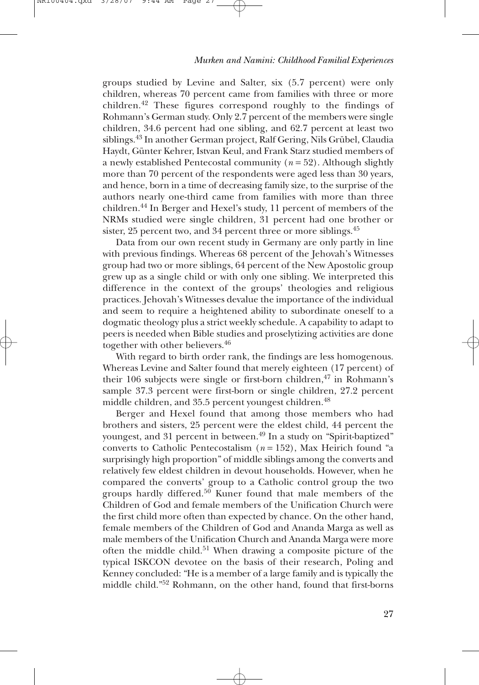groups studied by Levine and Salter, six (5.7 percent) were only children, whereas 70 percent came from families with three or more children.<sup>42</sup> These figures correspond roughly to the findings of Rohmann's German study. Only 2.7 percent of the members were single children, 34.6 percent had one sibling, and 62.7 percent at least two siblings.<sup>43</sup> In another German project, Ralf Gering, Nils Grübel, Claudia Haydt, Günter Kehrer, Istvan Keul, and Frank Starz studied members of a newly established Pentecostal community (*n* = 52). Although slightly more than 70 percent of the respondents were aged less than 30 years, and hence, born in a time of decreasing family size, to the surprise of the authors nearly one-third came from families with more than three children.<sup>44</sup> In Berger and Hexel's study, 11 percent of members of the NRMs studied were single children, 31 percent had one brother or sister, 25 percent two, and 34 percent three or more siblings.<sup>45</sup>

Data from our own recent study in Germany are only partly in line with previous findings. Whereas 68 percent of the Jehovah's Witnesses group had two or more siblings, 64 percent of the New Apostolic group grew up as a single child or with only one sibling. We interpreted this difference in the context of the groups' theologies and religious practices. Jehovah's Witnesses devalue the importance of the individual and seem to require a heightened ability to subordinate oneself to a dogmatic theology plus a strict weekly schedule. A capability to adapt to peers is needed when Bible studies and proselytizing activities are done together with other believers.<sup>46</sup>

With regard to birth order rank, the findings are less homogenous. Whereas Levine and Salter found that merely eighteen (17 percent) of their 106 subjects were single or first-born children, $47$  in Rohmann's sample 37.3 percent were first-born or single children, 27.2 percent middle children, and 35.5 percent youngest children.<sup>48</sup>

Berger and Hexel found that among those members who had brothers and sisters, 25 percent were the eldest child, 44 percent the youngest, and 31 percent in between.<sup>49</sup> In a study on "Spirit-baptized" converts to Catholic Pentecostalism (*n* = 152), Max Heirich found "a surprisingly high proportion" of middle siblings among the converts and relatively few eldest children in devout households. However, when he compared the converts' group to a Catholic control group the two groups hardly differed.<sup>50</sup> Kuner found that male members of the Children of God and female members of the Unification Church were the first child more often than expected by chance. On the other hand, female members of the Children of God and Ananda Marga as well as male members of the Unification Church and Ananda Marga were more often the middle child.<sup>51</sup> When drawing a composite picture of the typical ISKCON devotee on the basis of their research, Poling and Kenney concluded: "He is a member of a large family and is typically the middle child."<sup>52</sup> Rohmann, on the other hand, found that first-borns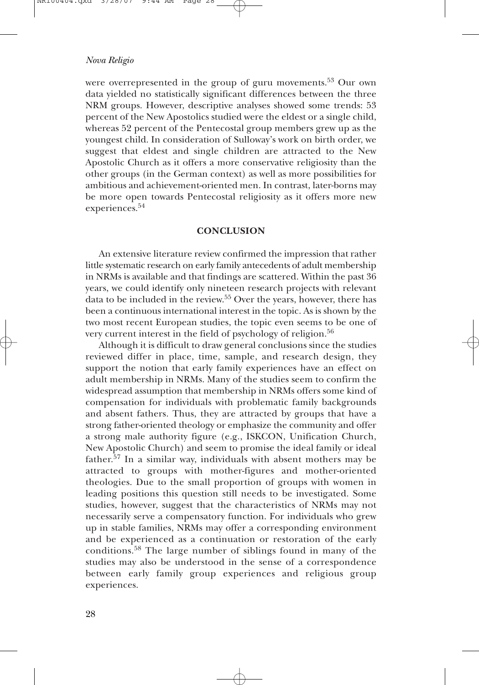were overrepresented in the group of guru movements.<sup>53</sup> Our own data yielded no statistically significant differences between the three NRM groups. However, descriptive analyses showed some trends: 53 percent of the New Apostolics studied were the eldest or a single child, whereas 52 percent of the Pentecostal group members grew up as the youngest child. In consideration of Sulloway's work on birth order, we suggest that eldest and single children are attracted to the New Apostolic Church as it offers a more conservative religiosity than the other groups (in the German context) as well as more possibilities for ambitious and achievement-oriented men. In contrast, later-borns may be more open towards Pentecostal religiosity as it offers more new experiences.<sup>54</sup>

#### **CONCLUSION**

An extensive literature review confirmed the impression that rather little systematic research on early family antecedents of adult membership in NRMs is available and that findings are scattered. Within the past 36 years, we could identify only nineteen research projects with relevant data to be included in the review.<sup>55</sup> Over the years, however, there has been a continuous international interest in the topic. As is shown by the two most recent European studies, the topic even seems to be one of very current interest in the field of psychology of religion.<sup>56</sup>

Although it is difficult to draw general conclusions since the studies reviewed differ in place, time, sample, and research design, they support the notion that early family experiences have an effect on adult membership in NRMs. Many of the studies seem to confirm the widespread assumption that membership in NRMs offers some kind of compensation for individuals with problematic family backgrounds and absent fathers. Thus, they are attracted by groups that have a strong father-oriented theology or emphasize the community and offer a strong male authority figure (e.g., ISKCON, Unification Church, New Apostolic Church) and seem to promise the ideal family or ideal father.<sup>57</sup> In a similar way, individuals with absent mothers may be attracted to groups with mother-figures and mother-oriented theologies. Due to the small proportion of groups with women in leading positions this question still needs to be investigated. Some studies, however, suggest that the characteristics of NRMs may not necessarily serve a compensatory function. For individuals who grew up in stable families, NRMs may offer a corresponding environment and be experienced as a continuation or restoration of the early conditions.<sup>58</sup> The large number of siblings found in many of the studies may also be understood in the sense of a correspondence between early family group experiences and religious group experiences.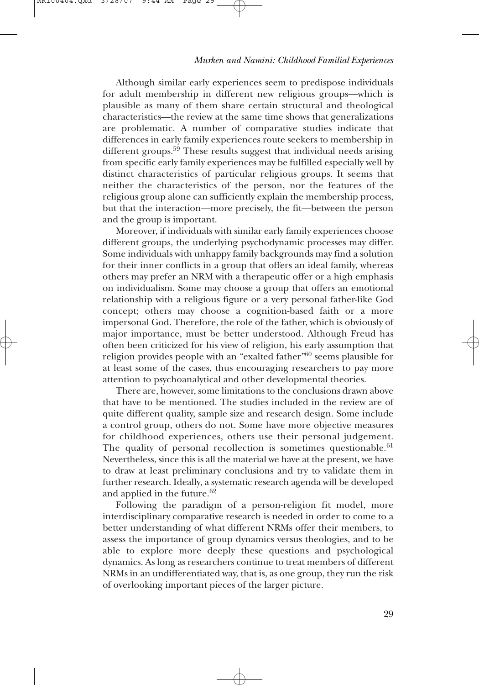Although similar early experiences seem to predispose individuals for adult membership in different new religious groups—which is plausible as many of them share certain structural and theological characteristics—the review at the same time shows that generalizations are problematic. A number of comparative studies indicate that differences in early family experiences route seekers to membership in different groups.<sup>59</sup> These results suggest that individual needs arising from specific early family experiences may be fulfilled especially well by distinct characteristics of particular religious groups. It seems that neither the characteristics of the person, nor the features of the religious group alone can sufficiently explain the membership process, but that the interaction—more precisely, the fit—between the person and the group is important.

Moreover, if individuals with similar early family experiences choose different groups, the underlying psychodynamic processes may differ. Some individuals with unhappy family backgrounds may find a solution for their inner conflicts in a group that offers an ideal family, whereas others may prefer an NRM with a therapeutic offer or a high emphasis on individualism. Some may choose a group that offers an emotional relationship with a religious figure or a very personal father-like God concept; others may choose a cognition-based faith or a more impersonal God. Therefore, the role of the father, which is obviously of major importance, must be better understood. Although Freud has often been criticized for his view of religion, his early assumption that religion provides people with an "exalted father"60 seems plausible for at least some of the cases, thus encouraging researchers to pay more attention to psychoanalytical and other developmental theories.

There are, however, some limitations to the conclusions drawn above that have to be mentioned. The studies included in the review are of quite different quality, sample size and research design. Some include a control group, others do not. Some have more objective measures for childhood experiences, others use their personal judgement. The quality of personal recollection is sometimes questionable. $61$ Nevertheless, since this is all the material we have at the present, we have to draw at least preliminary conclusions and try to validate them in further research. Ideally, a systematic research agenda will be developed and applied in the future.<sup>62</sup>

Following the paradigm of a person-religion fit model, more interdisciplinary comparative research is needed in order to come to a better understanding of what different NRMs offer their members, to assess the importance of group dynamics versus theologies, and to be able to explore more deeply these questions and psychological dynamics. As long as researchers continue to treat members of different NRMs in an undifferentiated way, that is, as one group, they run the risk of overlooking important pieces of the larger picture.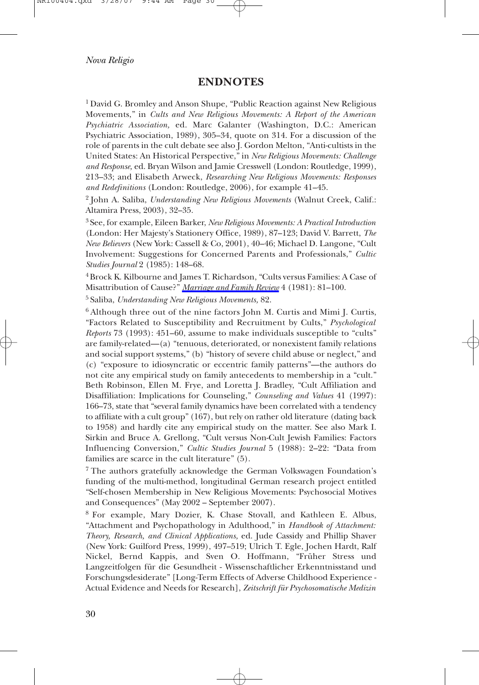# **ENDNOTES**

1 David G. Bromley and Anson Shupe, "Public Reaction against New Religious Movements," in *Cults and New Religious Movements: A Report of the American Psychiatric Association,* ed. Marc Galanter (Washington, D.C.: American Psychiatric Association, 1989), 305–34, quote on 314. For a discussion of the role of parents in the cult debate see also J. Gordon Melton, "Anti-cultists in the United States: An Historical Perspective," in *New Religious Movements: Challenge and Response,* ed. Bryan Wilson and Jamie Cresswell (London: Routledge, 1999), 213–33; and Elisabeth Arweck, *Researching New Religious Movements: Responses and Redefinitions* (London: Routledge, 2006), for example 41–45.

2 John A. Saliba, *Understanding New Religious Movements* (Walnut Creek, Calif.: Altamira Press, 2003), 32–35.

3 See, for example, Eileen Barker, *New Religious Movements: A Practical Introduction* (London: Her Majesty's Stationery Office, 1989), 87–123; David V. Barrett, *The New Believers* (New York: Cassell & Co, 2001), 40–46; Michael D. Langone, "Cult Involvement: Suggestions for Concerned Parents and Professionals," *Cultic Studies Journal* 2 (1985): 148–68.

4 Brock K. Kilbourne and James T. Richardson, "Cults versus Families: A Case of Misattribution of Cause?" *Marriage and Family Review* 4 (1981): 81–100.

5 Saliba, *Understanding New Religious Movements,* 82.

6 Although three out of the nine factors John M. Curtis and Mimi J. Curtis, "Factors Related to Susceptibility and Recruitment by Cults," *Psychological Reports* 73 (1993): 451–60, assume to make individuals susceptible to "cults" are family-related—(a) "tenuous, deteriorated, or nonexistent family relations and social support systems," (b) "history of severe child abuse or neglect," and (c) "exposure to idiosyncratic or eccentric family patterns"—the authors do not cite any empirical study on family antecedents to membership in a "cult." Beth Robinson, Ellen M. Frye, and Loretta J. Bradley, "Cult Affiliation and Disaffiliation: Implications for Counseling," *Counseling and Values* 41 (1997): 166–73, state that "several family dynamics have been correlated with a tendency to affiliate with a cult group" (167), but rely on rather old literature (dating back to 1958) and hardly cite any empirical study on the matter. See also Mark I. Sirkin and Bruce A. Grellong, "Cult versus Non-Cult Jewish Families: Factors Influencing Conversion," *Cultic Studies Journal* 5 (1988): 2–22: "Data from families are scarce in the cult literature" (5).

7 The authors gratefully acknowledge the German Volkswagen Foundation's funding of the multi-method, longitudinal German research project entitled "Self-chosen Membership in New Religious Movements: Psychosocial Motives and Consequences" (May 2002 – September 2007).

8 For example, Mary Dozier, K. Chase Stovall, and Kathleen E. Albus, "Attachment and Psychopathology in Adulthood," in *Handbook of Attachment: Theory, Research, and Clinical Applications,* ed. Jude Cassidy and Phillip Shaver (New York: Guilford Press, 1999), 497–519; Ulrich T. Egle, Jochen Hardt, Ralf Nickel, Bernd Kappis, and Sven O. Hoffmann, "Früher Stress und Langzeitfolgen für die Gesundheit - Wissenschaftlicher Erkenntnisstand und Forschungsdesiderate" [Long-Term Effects of Adverse Childhood Experience - Actual Evidence and Needs for Research], *Zeitschrift für Psychosomatische Medizin*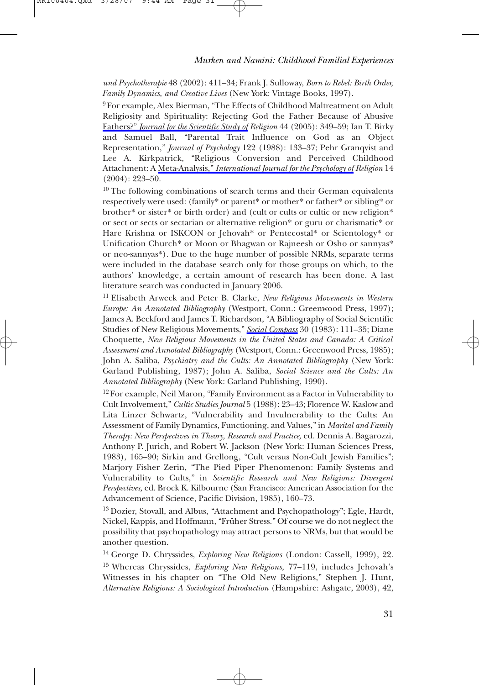*und Psychotherapie* 48 (2002): 411–34; Frank J. Sulloway, *Born to Rebel: Birth Order, Family Dynamics, and Creative Lives* (New York: Vintage Books, 1997).

9 For example, Alex Bierman, "The Effects of Childhood Maltreatment on Adult Religiosity and Spirituality: Rejecting God the Father Because of Abusive Fathers?" *Journal for the Scientific Study of Religion* 44 (2005): 349–59; Ian T. Birky and Samuel Ball, "Parental Trait Influence on God as an Object Representation," *Journal of Psychology* 122 (1988): 133–37; Pehr Granqvist and Lee A. Kirkpatrick, "Religious Conversion and Perceived Childhood Attachment: A Meta-Analysis," *International Journal for the Psychology of Religion* 14 (2004): 223–50.

<sup>10</sup> The following combinations of search terms and their German equivalents respectively were used: (family\* or parent\* or mother\* or father\* or sibling\* or brother\* or sister\* or birth order) and (cult or cults or cultic or new religion\* or sect or sects or sectarian or alternative religion\* or guru or charismatic\* or Hare Krishna or ISKCON or Jehovah\* or Pentecostal\* or Scientology\* or Unification Church\* or Moon or Bhagwan or Rajneesh or Osho or sannyas\* or neo-sannyas\*). Due to the huge number of possible NRMs, separate terms were included in the database search only for those groups on which, to the authors' knowledge, a certain amount of research has been done. A last literature search was conducted in January 2006.

11 Elisabeth Arweck and Peter B. Clarke, *New Religious Movements in Western Europe: An Annotated Bibliography* (Westport, Conn.: Greenwood Press, 1997); James A. Beckford and James T. Richardson, "A Bibliography of Social Scientific Studies of New Religious Movements," *Social Compass* 30 (1983): 111–35; Diane Choquette, *New Religious Movements in the United States and Canada: A Critical Assessment and Annotated Bibliography* (Westport, Conn.: Greenwood Press, 1985); John A. Saliba, *Psychiatry and the Cults: An Annotated Bibliography* (New York: Garland Publishing, 1987); John A. Saliba, *Social Science and the Cults: An Annotated Bibliography* (New York: Garland Publishing, 1990).

<sup>12</sup> For example, Neil Maron, "Family Environment as a Factor in Vulnerability to Cult Involvement," *Cultic Studies Journal* 5 (1988): 23–43; Florence W. Kaslow and Lita Linzer Schwartz, "Vulnerability and Invulnerability to the Cults: An Assessment of Family Dynamics, Functioning, and Values," in *Marital and Family Therapy: New Perspectives in Theory, Research and Practice,* ed. Dennis A. Bagarozzi, Anthony P. Jurich, and Robert W. Jackson (New York: Human Sciences Press, 1983), 165–90; Sirkin and Grellong, "Cult versus Non-Cult Jewish Families"; Marjory Fisher Zerin, "The Pied Piper Phenomenon: Family Systems and Vulnerability to Cults," in *Scientific Research and New Religions: Divergent Perspectives,* ed. Brock K. Kilbourne (San Francisco: American Association for the Advancement of Science, Pacific Division, 1985), 160–73.

13 Dozier, Stovall, and Albus, "Attachment and Psychopathology"; Egle, Hardt, Nickel, Kappis, and Hoffmann, "Früher Stress." Of course we do not neglect the possibility that psychopathology may attract persons to NRMs, but that would be another question.

14 George D. Chryssides, *Exploring New Religions* (London: Cassell, 1999), 22. 15 Whereas Chryssides, *Exploring New Religions,* 77–119, includes Jehovah's Witnesses in his chapter on "The Old New Religions," Stephen J. Hunt, *Alternative Religions: A Sociological Introduction* (Hampshire: Ashgate, 2003), 42,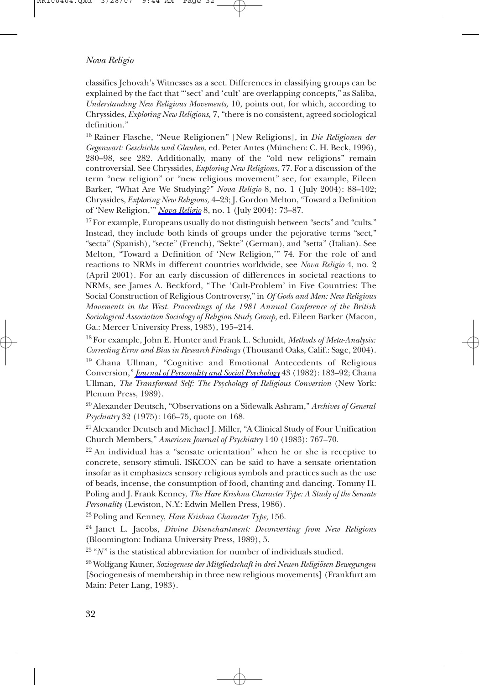classifies Jehovah's Witnesses as a sect. Differences in classifying groups can be explained by the fact that "'sect' and 'cult' are overlapping concepts," as Saliba, *Understanding New Religious Movements,* 10, points out, for which, according to Chryssides, *Exploring New Religions,* 7, "there is no consistent, agreed sociological definition."

16 Rainer Flasche, "Neue Religionen" [New Religions], in *Die Religionen der Gegenwart: Geschichte und Glauben,* ed. Peter Antes (München: C. H. Beck, 1996), 280–98, see 282. Additionally, many of the "old new religions" remain controversial. See Chryssides, *Exploring New Religions,* 77. For a discussion of the term "new religion" or "new religious movement" see, for example, Eileen Barker, "What Are We Studying?" *Nova Religio* 8, no. 1 ( July 2004): 88–102; Chryssides, *Exploring New Religions,* 4–23; J. Gordon Melton, "Toward a Definition of 'New Religion,'" *Nova Religio* 8, no. 1 (July 2004): 73–87.

<sup>17</sup> For example, Europeans usually do not distinguish between "sects" and "cults." Instead, they include both kinds of groups under the pejorative terms "sect," "secta" (Spanish), "secte" (French), "Sekte" (German), and "setta" (Italian). See Melton, "Toward a Definition of 'New Religion,'" 74. For the role of and reactions to NRMs in different countries worldwide, see *Nova Religio* 4, no. 2 (April 2001). For an early discussion of differences in societal reactions to NRMs, see James A. Beckford, "The 'Cult-Problem' in Five Countries: The Social Construction of Religious Controversy," in *Of Gods and Men: New Religious Movements in the West. Proceedings of the 1981 Annual Conference of the British Sociological Association Sociology of Religion Study Group,* ed. Eileen Barker (Macon, Ga.: Mercer University Press, 1983), 195–214.

18 For example, John E. Hunter and Frank L. Schmidt, *Methods of Meta-Analysis: Correcting Error and Bias in Research Findings* (Thousand Oaks, Calif.: Sage, 2004).

19 Chana Ullman, "Cognitive and Emotional Antecedents of Religious Conversion," *Journal of Personality and Social Psychology* 43 (1982): 183–92; Chana Ullman, *The Transformed Self: The Psychology of Religious Conversion* (New York: Plenum Press, 1989).

20 Alexander Deutsch, "Observations on a Sidewalk Ashram," *Archives of General Psychiatry* 32 (1975): 166–75, quote on 168.

<sup>21</sup> Alexander Deutsch and Michael J. Miller, "A Clinical Study of Four Unification Church Members," *American Journal of Psychiatry* 140 (1983): 767–70.

 $22$  An individual has a "sensate orientation" when he or she is receptive to concrete, sensory stimuli. ISKCON can be said to have a sensate orientation insofar as it emphasizes sensory religious symbols and practices such as the use of beads, incense, the consumption of food, chanting and dancing. Tommy H. Poling and J. Frank Kenney, *The Hare Krishna Character Type: A Study of the Sensate Personality* (Lewiston, N.Y.: Edwin Mellen Press, 1986).

23 Poling and Kenney, *Hare Krishna Character Type,* 156.

24 Janet L. Jacobs, *Divine Disenchantment: Deconverting from New Religions* (Bloomington: Indiana University Press, 1989), 5.

 $25$  " $N$ " is the statistical abbreviation for number of individuals studied.

26 Wolfgang Kuner, *Soziogenese der Mitgliedschaft in drei Neuen Religiösen Bewegungen* [Sociogenesis of membership in three new religious movements] (Frankfurt am Main: Peter Lang, 1983).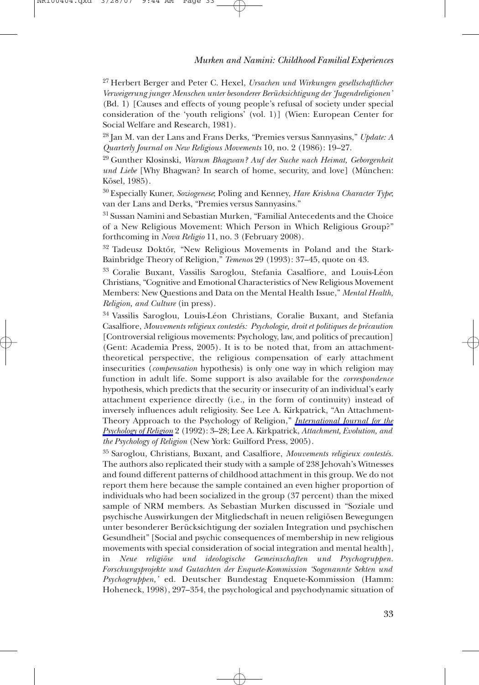27 Herbert Berger and Peter C. Hexel, *Ursachen und Wirkungen gesellschaftlicher Verweigerung junger Menschen unter besonderer Berücksichtigung der 'Jugendreligionen'* (Bd. 1) [Causes and effects of young people's refusal of society under special consideration of the 'youth religions' (vol. 1)] (Wien: European Center for Social Welfare and Research, 1981).

28 Jan M. van der Lans and Frans Derks, "Premies versus Sannyasins," *Update: A Quarterly Journal on New Religious Movements* 10, no. 2 (1986): 19–27.

29 Gunther Klosinski, *Warum Bhagwan? Auf der Suche nach Heimat, Geborgenheit und Liebe* [Why Bhagwan? In search of home, security, and love] (München: Kösel, 1985).

30 Especially Kuner, *Soziogenese*; Poling and Kenney, *Hare Krishna Character Type*; van der Lans and Derks, "Premies versus Sannyasins."

31 Sussan Namini and Sebastian Murken, "Familial Antecedents and the Choice of a New Religious Movement: Which Person in Which Religious Group?" forthcoming in *Nova Religio* 11, no. 3 (February 2008).

<sup>32</sup> Tadeusz Doktór, "New Religious Movements in Poland and the Stark-Bainbridge Theory of Religion," *Temenos* 29 (1993): 37–45, quote on 43.

33 Coralie Buxant, Vassilis Saroglou, Stefania Casalfiore, and Louis-Léon Christians, "Cognitive and Emotional Characteristics of New Religious Movement Members: New Questions and Data on the Mental Health Issue," *Mental Health, Religion, and Culture* (in press).

34 Vassilis Saroglou, Louis-Léon Christians, Coralie Buxant, and Stefania Casalfiore, *Mouvements religieux contestés: Psychologie, droit et politiques de précaution* [Controversial religious movements: Psychology, law, and politics of precaution] (Gent: Academia Press, 2005). It is to be noted that, from an attachmenttheoretical perspective, the religious compensation of early attachment insecurities (*compensation* hypothesis) is only one way in which religion may function in adult life. Some support is also available for the *correspondence* hypothesis, which predicts that the security or insecurity of an individual's early attachment experience directly (i.e., in the form of continuity) instead of inversely influences adult religiosity. See Lee A. Kirkpatrick, "An Attachment-Theory Approach to the Psychology of Religion," *International Journal for the Psychology of Religion* 2 (1992): 3–28; Lee A. Kirkpatrick, *Attachment, Evolution, and the Psychology of Religion* (New York: Guilford Press, 2005).

35 Saroglou, Christians, Buxant, and Casalfiore, *Mouvements religieux contestés.* The authors also replicated their study with a sample of 238 Jehovah's Witnesses and found different patterns of childhood attachment in this group. We do not report them here because the sample contained an even higher proportion of individuals who had been socialized in the group (37 percent) than the mixed sample of NRM members. As Sebastian Murken discussed in "Soziale und psychische Auswirkungen der Mitgliedschaft in neuen religiösen Bewegungen unter besonderer Berücksichtigung der sozialen Integration und psychischen Gesundheit" [Social and psychic consequences of membership in new religious movements with special consideration of social integration and mental health], in *Neue religiöse und ideologische Gemeinschaften und Psychogruppen. Forschungsprojekte und Gutachten der Enquete-Kommission 'Sogenannte Sekten und Psychogruppen,'* ed. Deutscher Bundestag Enquete-Kommission (Hamm: Hoheneck, 1998), 297–354, the psychological and psychodynamic situation of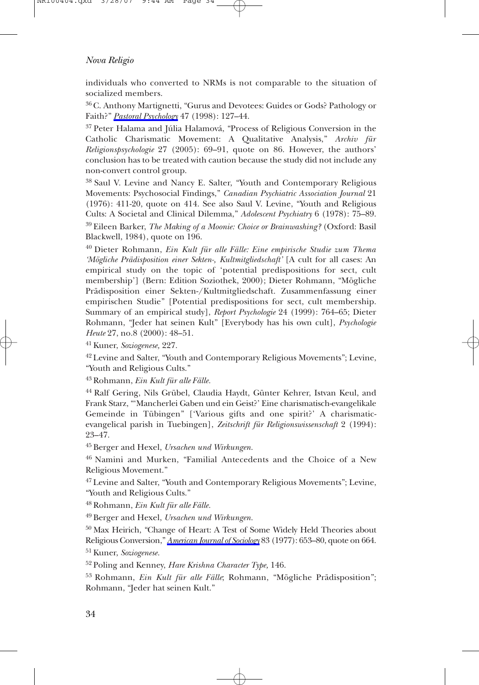individuals who converted to NRMs is not comparable to the situation of socialized members.

36 C. Anthony Martignetti, "Gurus and Devotees: Guides or Gods? Pathology or Faith?" *Pastoral Psychology* 47 (1998): 127–44.

<sup>37</sup> Peter Halama and Júlia Halamová, "Process of Religious Conversion in the Catholic Charismatic Movement: A Qualitative Analysis," *Archiv für Religionspsychologie* 27 (2005): 69–91, quote on 86. However, the authors' conclusion has to be treated with caution because the study did not include any non-convert control group.

38 Saul V. Levine and Nancy E. Salter, "Youth and Contemporary Religious Movements: Psychosocial Findings," *Canadian Psychiatric Association Journal* 21 (1976): 411-20, quote on 414. See also Saul V. Levine, "Youth and Religious Cults: A Societal and Clinical Dilemma," *Adolescent Psychiatry* 6 (1978): 75–89.

39 Eileen Barker, *The Making of a Moonie: Choice or Brainwashing?* (Oxford: Basil Blackwell, 1984), quote on 196.

40 Dieter Rohmann, *Ein Kult für alle Fälle: Eine empirische Studie zum Thema 'Mögliche Prädisposition einer Sekten-, Kultmitgliedschaft'* [A cult for all cases: An empirical study on the topic of 'potential predispositions for sect, cult membership'] (Bern: Edition Soziothek, 2000); Dieter Rohmann, "Mögliche Prädisposition einer Sekten-/Kultmitgliedschaft. Zusammenfassung einer empirischen Studie" [Potential predispositions for sect, cult membership. Summary of an empirical study], *Report Psychologie* 24 (1999): 764–65; Dieter Rohmann, "Jeder hat seinen Kult" [Everybody has his own cult], *Psychologie Heute* 27, no.8 (2000): 48–51.

41 Kuner, *Soziogenese,* 227.

<sup>42</sup> Levine and Salter, "Youth and Contemporary Religious Movements"; Levine, "Youth and Religious Cults."

43 Rohmann, *Ein Kult für alle Fälle.*

44 Ralf Gering, Nils Grübel, Claudia Haydt, Günter Kehrer, Istvan Keul, and Frank Starz, "'Mancherlei Gaben und ein Geist?' Eine charismatisch-evangelikale Gemeinde in Tübingen" ['Various gifts and one spirit?' A charismaticevangelical parish in Tuebingen], *Zeitschrift für Religionswissenschaft* 2 (1994): 23–47.

45 Berger and Hexel, *Ursachen und Wirkungen.* 

46 Namini and Murken, "Familial Antecedents and the Choice of a New Religious Movement."

47 Levine and Salter, "Youth and Contemporary Religious Movements"; Levine, "Youth and Religious Cults."

48 Rohmann, *Ein Kult für alle Fälle.*

49 Berger and Hexel, *Ursachen und Wirkungen.*

50 Max Heirich, "Change of Heart: A Test of Some Widely Held Theories about Religious Conversion," *American Journal of Sociology* 83 (1977): 653–80, quote on 664.

51 Kuner, *Soziogenese.*

52 Poling and Kenney, *Hare Krishna Character Type,* 146.

53 Rohmann, *Ein Kult für alle Fälle*; Rohmann, "Mögliche Prädisposition"; Rohmann, "Jeder hat seinen Kult."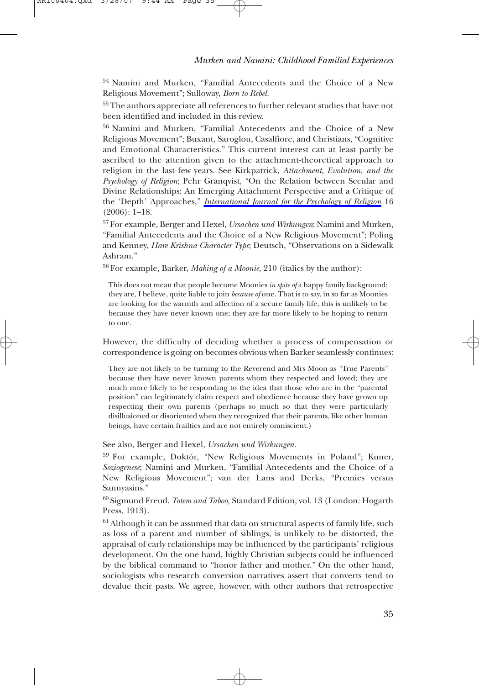54 Namini and Murken, "Familial Antecedents and the Choice of a New Religious Movement"; Sulloway, *Born to Rebel.*

<sup>55</sup> The authors appreciate all references to further relevant studies that have not been identified and included in this review.

56 Namini and Murken, "Familial Antecedents and the Choice of a New Religious Movement"; Buxant, Saroglou, Casalfiore, and Christians, "Cognitive and Emotional Characteristics." This current interest can at least partly be ascribed to the attention given to the attachment-theoretical approach to religion in the last few years. See Kirkpatrick, *Attachment, Evolution, and the Psychology of Religion*; Pehr Granqvist, "On the Relation between Secular and Divine Relationships: An Emerging Attachment Perspective and a Critique of the 'Depth' Approaches," *International Journal for the Psychology of Religion* 16 (2006): 1–18.

57 For example, Berger and Hexel, *Ursachen und Wirkungen*; Namini and Murken, "Familial Antecedents and the Choice of a New Religious Movement"; Poling and Kenney, *Hare Krishna Character Type*; Deutsch, "Observations on a Sidewalk Ashram."

58 For example, Barker, *Making of a Moonie,* 210 (italics by the author):

This does not mean that people become Moonies *in spite of* a happy family background; they are, I believe, quite liable to join *because of* one. That is to say, in so far as Moonies are looking for the warmth and affection of a secure family life, this is unlikely to be because they have never known one; they are far more likely to be hoping to return to one.

However, the difficulty of deciding whether a process of compensation or correspondence is going on becomes obvious when Barker seamlessly continues:

They are not likely to be turning to the Reverend and Mrs Moon as "True Parents" because they have never known parents whom they respected and loved; they are much more likely to be responding to the idea that those who are in the "parental position" can legitimately claim respect and obedience because they have grown up respecting their own parents (perhaps so much so that they were particularly disillusioned or disoriented when they recognized that their parents, like other human beings, have certain frailties and are not entirely omniscient.)

See also, Berger and Hexel, *Ursachen und Wirkungen.*

59 For example, Doktór, "New Religious Movements in Poland"; Kuner, *Soziogenese*; Namini and Murken, "Familial Antecedents and the Choice of a New Religious Movement"; van der Lans and Derks, "Premies versus Sannyasins."

60 Sigmund Freud, *Totem and Taboo,* Standard Edition, vol. 13 (London: Hogarth Press, 1913).

 $61$  Although it can be assumed that data on structural aspects of family life, such as loss of a parent and number of siblings, is unlikely to be distorted, the appraisal of early relationships may be influenced by the participants' religious development. On the one hand, highly Christian subjects could be influenced by the biblical command to "honor father and mother." On the other hand, sociologists who research conversion narratives assert that converts tend to devalue their pasts. We agree, however, with other authors that retrospective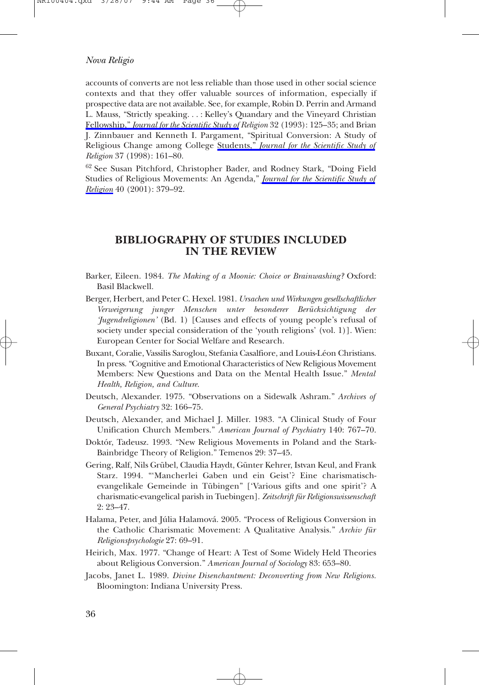accounts of converts are not less reliable than those used in other social science contexts and that they offer valuable sources of information, especially if prospective data are not available. See, for example, Robin D. Perrin and Armand L. Mauss, "Strictly speaking. . . : Kelley's Quandary and the Vineyard Christian Fellowship," *Journal for the Scientific Study of Religion* 32 (1993): 125–35; and Brian J. Zinnbauer and Kenneth I. Pargament, "Spiritual Conversion: A Study of Religious Change among College Students," *Journal for the Scientific Study of Religion* 37 (1998): 161–80.

62 See Susan Pitchford, Christopher Bader, and Rodney Stark, "Doing Field Studies of Religious Movements: An Agenda," *Journal for the Scientific Study of Religion* 40 (2001): 379–92.

## **BIBLIOGRAPHY OF STUDIES INCLUDED IN THE REVIEW**

- Barker, Eileen. 1984. *The Making of a Moonie: Choice or Brainwashing?* Oxford: Basil Blackwell.
- Berger, Herbert, and Peter C. Hexel. 1981. *Ursachen und Wirkungen gesellschaftlicher Verweigerung junger Menschen unter besonderer Berücksichtigung der 'Jugendreligionen'* (Bd. 1) [Causes and effects of young people's refusal of society under special consideration of the 'youth religions' (vol. 1)]. Wien: European Center for Social Welfare and Research.
- Buxant, Coralie, Vassilis Saroglou, Stefania Casalfiore, and Louis-Léon Christians. In press. "Cognitive and Emotional Characteristics of New Religious Movement Members: New Questions and Data on the Mental Health Issue." *Mental Health, Religion, and Culture.*
- Deutsch, Alexander. 1975. "Observations on a Sidewalk Ashram." *Archives of General Psychiatry* 32: 166–75.
- Deutsch, Alexander, and Michael J. Miller. 1983. "A Clinical Study of Four Unification Church Members." *American Journal of Psychiatry* 140: 767–70.
- Doktór, Tadeusz. 1993. "New Religious Movements in Poland and the Stark-Bainbridge Theory of Religion." Temenos 29: 37–45.
- Gering, Ralf, Nils Grübel, Claudia Haydt, Günter Kehrer, Istvan Keul, and Frank Starz. 1994. "'Mancherlei Gaben und ein Geist'? Eine charismatischevangelikale Gemeinde in Tübingen" ['Various gifts and one spirit'? A charismatic-evangelical parish in Tuebingen]. *Zeitschrift für Religionswissenschaft* 2: 23–47.
- Halama, Peter, and Júlia Halamová. 2005. "Process of Religious Conversion in the Catholic Charismatic Movement: A Qualitative Analysis." *Archiv für Religionspsychologie* 27: 69–91.
- Heirich, Max. 1977. "Change of Heart: A Test of Some Widely Held Theories about Religious Conversion." *American Journal of Sociology* 83: 653–80.
- Jacobs, Janet L. 1989. *Divine Disenchantment: Deconverting from New Religions.* Bloomington: Indiana University Press.